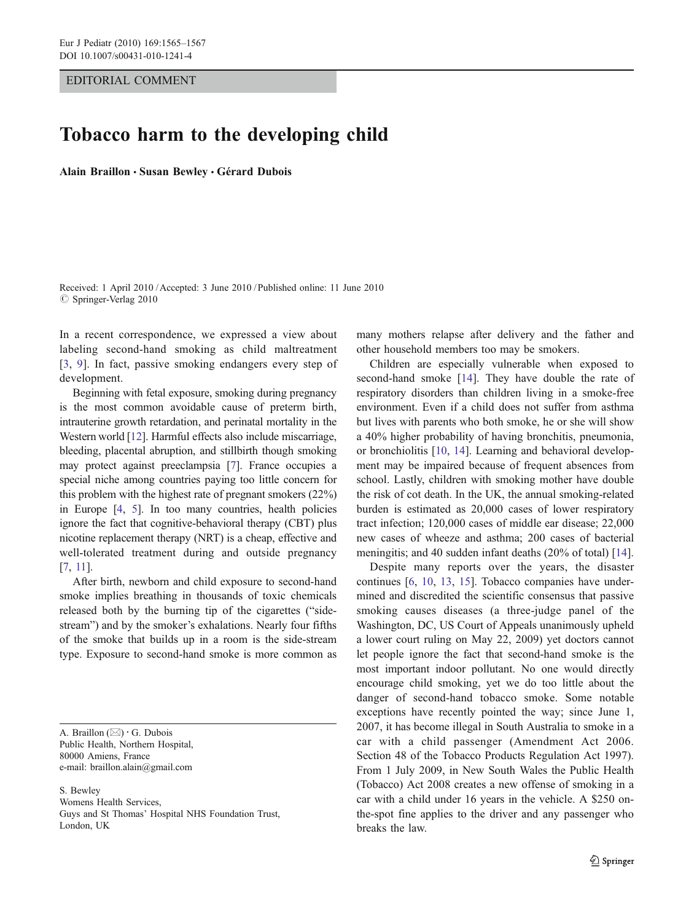## EDITORIAL COMMENT

## Tobacco harm to the developing child

Alain Braillon · Susan Bewley · Gérard Dubois

Received: 1 April 2010 /Accepted: 3 June 2010 / Published online: 11 June 2010  $©$  Springer-Verlag 2010

In a recent correspondence, we expressed a view about labeling second-hand smoking as child maltreatment [\[3](#page-1-0), [9](#page-2-0)]. In fact, passive smoking endangers every step of development.

Beginning with fetal exposure, smoking during pregnancy is the most common avoidable cause of preterm birth, intrauterine growth retardation, and perinatal mortality in the Western world [\[12\]](#page-2-0). Harmful effects also include miscarriage, bleeding, placental abruption, and stillbirth though smoking may protect against preeclampsia [[7\]](#page-1-0). France occupies a special niche among countries paying too little concern for this problem with the highest rate of pregnant smokers (22%) in Europe [\[4](#page-1-0), [5\]](#page-1-0). In too many countries, health policies ignore the fact that cognitive-behavioral therapy (CBT) plus nicotine replacement therapy (NRT) is a cheap, effective and well-tolerated treatment during and outside pregnancy [\[7](#page-1-0), [11](#page-2-0)].

After birth, newborn and child exposure to second-hand smoke implies breathing in thousands of toxic chemicals released both by the burning tip of the cigarettes ("sidestream") and by the smoker's exhalations. Nearly four fifths of the smoke that builds up in a room is the side-stream type. Exposure to second-hand smoke is more common as

A. Braillon  $(\boxtimes) \cdot G$ . Dubois Public Health, Northern Hospital, 80000 Amiens, France e-mail: braillon.alain@gmail.com

S. Bewley Womens Health Services, Guys and St Thomas' Hospital NHS Foundation Trust, London, UK

many mothers relapse after delivery and the father and other household members too may be smokers.

Children are especially vulnerable when exposed to second-hand smoke [[14\]](#page-2-0). They have double the rate of respiratory disorders than children living in a smoke-free environment. Even if a child does not suffer from asthma but lives with parents who both smoke, he or she will show a 40% higher probability of having bronchitis, pneumonia, or bronchiolitis [[10,](#page-2-0) [14](#page-2-0)]. Learning and behavioral development may be impaired because of frequent absences from school. Lastly, children with smoking mother have double the risk of cot death. In the UK, the annual smoking-related burden is estimated as 20,000 cases of lower respiratory tract infection; 120,000 cases of middle ear disease; 22,000 new cases of wheeze and asthma; 200 cases of bacterial meningitis; and 40 sudden infant deaths (20% of total) [[14\]](#page-2-0).

Despite many reports over the years, the disaster continues [[6,](#page-1-0) [10,](#page-2-0) [13](#page-2-0), [15](#page-2-0)]. Tobacco companies have undermined and discredited the scientific consensus that passive smoking causes diseases (a three-judge panel of the Washington, DC, US Court of Appeals unanimously upheld a lower court ruling on May 22, 2009) yet doctors cannot let people ignore the fact that second-hand smoke is the most important indoor pollutant. No one would directly encourage child smoking, yet we do too little about the danger of second-hand tobacco smoke. Some notable exceptions have recently pointed the way; since June 1, 2007, it has become illegal in South Australia to smoke in a car with a child passenger (Amendment Act 2006. Section 48 of the Tobacco Products Regulation Act 1997). From 1 July 2009, in New South Wales the Public Health (Tobacco) Act 2008 creates a new offense of smoking in a car with a child under 16 years in the vehicle. A \$250 onthe-spot fine applies to the driver and any passenger who breaks the law.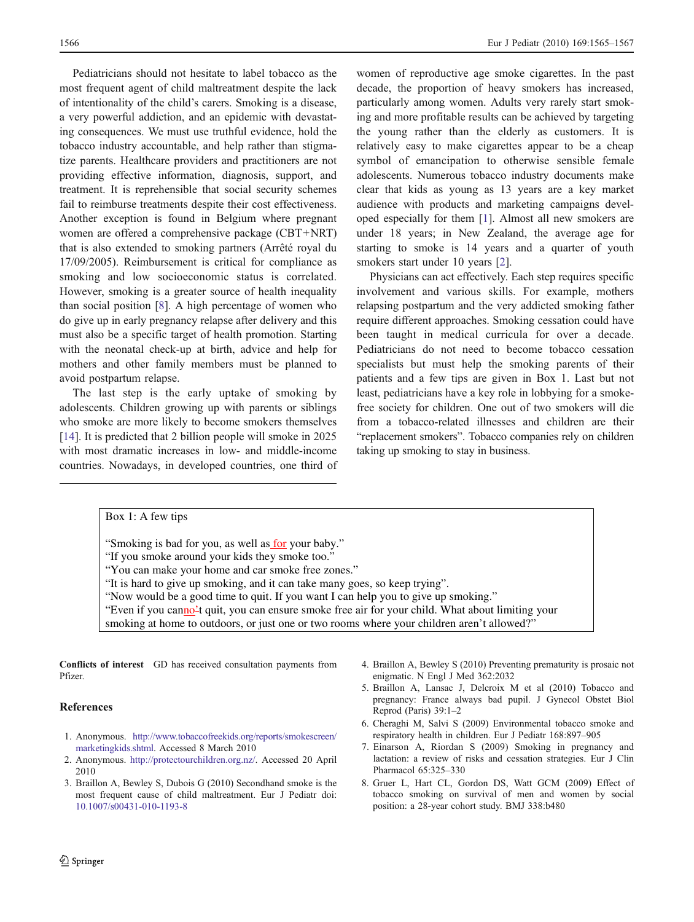<span id="page-1-0"></span>Pediatricians should not hesitate to label tobacco as the most frequent agent of child maltreatment despite the lack of intentionality of the child's carers. Smoking is a disease, a very powerful addiction, and an epidemic with devastating consequences. We must use truthful evidence, hold the tobacco industry accountable, and help rather than stigmatize parents. Healthcare providers and practitioners are not providing effective information, diagnosis, support, and treatment. It is reprehensible that social security schemes fail to reimburse treatments despite their cost effectiveness. Another exception is found in Belgium where pregnant women are offered a comprehensive package (CBT+NRT) that is also extended to smoking partners (Arrêté royal du 17/09/2005). Reimbursement is critical for compliance as smoking and low socioeconomic status is correlated. However, smoking is a greater source of health inequality than social position [8]. A high percentage of women who do give up in early pregnancy relapse after delivery and this must also be a specific target of health promotion. Starting with the neonatal check-up at birth, advice and help for mothers and other family members must be planned to avoid postpartum relapse.

The last step is the early uptake of smoking by adolescents. Children growing up with parents or siblings who smoke are more likely to become smokers themselves [\[14](#page-2-0)]. It is predicted that 2 billion people will smoke in 2025 with most dramatic increases in low- and middle-income countries. Nowadays, in developed countries, one third of

women of reproductive age smoke cigarettes. In the past decade, the proportion of heavy smokers has increased, particularly among women. Adults very rarely start smoking and more profitable results can be achieved by targeting the young rather than the elderly as customers. It is relatively easy to make cigarettes appear to be a cheap symbol of emancipation to otherwise sensible female adolescents. Numerous tobacco industry documents make clear that kids as young as 13 years are a key market audience with products and marketing campaigns developed especially for them [1]. Almost all new smokers are under 18 years; in New Zealand, the average age for starting to smoke is 14 years and a quarter of youth smokers start under 10 years [2].

Physicians can act effectively. Each step requires specific involvement and various skills. For example, mothers relapsing postpartum and the very addicted smoking father require different approaches. Smoking cessation could have been taught in medical curricula for over a decade. Pediatricians do not need to become tobacco cessation specialists but must help the smoking parents of their patients and a few tips are given in Box 1. Last but not least, pediatricians have a key role in lobbying for a smokefree society for children. One out of two smokers will die from a tobacco-related illnesses and children are their "replacement smokers". Tobacco companies rely on children taking up smoking to stay in business.

Box 1: A few tips

"Smoking is bad for you, as well as for your baby."

"If you smoke around your kids they smoke too."

"You can make your home and car smoke free zones."

"It is hard to give up smoking, and it can take many goes, so keep trying".

"Now would be a good time to quit. If you want I can help you to give up smoking."

"Even if you canno't quit, you can ensure smoke free air for your child. What about limiting your

smoking at home to outdoors, or just one or two rooms where your children aren't allowed?"

Conflicts of interest GD has received consultation payments from Pfizer.

## References

- 1. Anonymous. [http://www.tobaccofreekids.org/reports/smokescreen/](http://www.tobaccofreekids.org/reports/smokescreen/marketingkids.shtml) [marketingkids.shtml.](http://www.tobaccofreekids.org/reports/smokescreen/marketingkids.shtml) Accessed 8 March 2010
- 2. Anonymous. <http://protectourchildren.org.nz/>. Accessed 20 April 2010
- 3. Braillon A, Bewley S, Dubois G (2010) Secondhand smoke is the most frequent cause of child maltreatment. Eur J Pediatr doi: [10.1007/s00431-010-1193-8](http:/dx.doi.org/10.1007/s00431-010-1193-8)
- 4. Braillon A, Bewley S (2010) Preventing prematurity is prosaic not enigmatic. N Engl J Med 362:2032
- 5. Braillon A, Lansac J, Delcroix M et al (2010) Tobacco and pregnancy: France always bad pupil. J Gynecol Obstet Biol Reprod (Paris) 39:1–2
- 6. Cheraghi M, Salvi S (2009) Environmental tobacco smoke and respiratory health in children. Eur J Pediatr 168:897–905
- 7. Einarson A, Riordan S (2009) Smoking in pregnancy and lactation: a review of risks and cessation strategies. Eur J Clin Pharmacol 65:325–330
- 8. Gruer L, Hart CL, Gordon DS, Watt GCM (2009) Effect of tobacco smoking on survival of men and women by social position: a 28-year cohort study. BMJ 338:b480